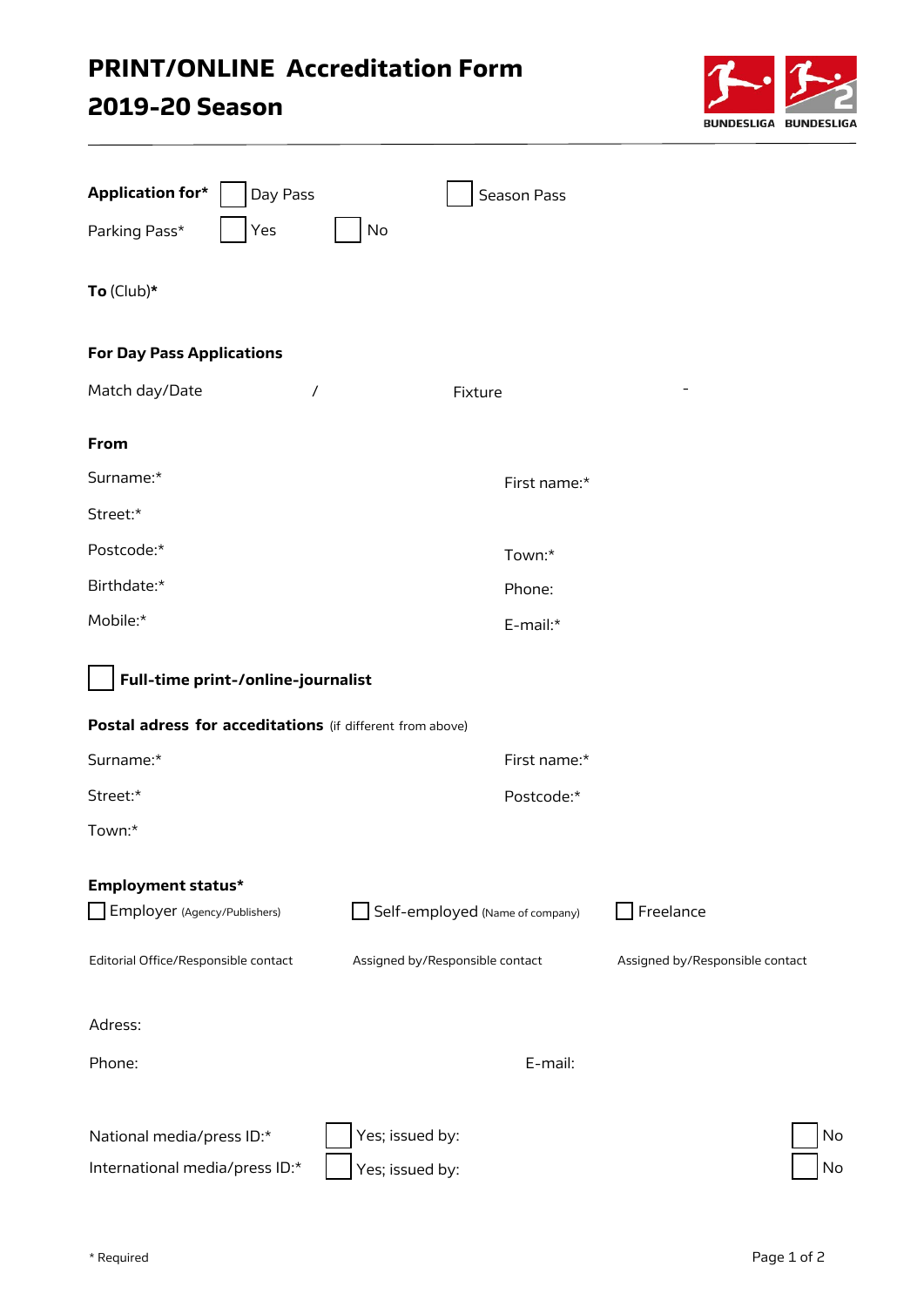## PRINT/ONLINE Accreditation Form

## 2019-20 Season



| <b>Application for*</b><br>Day Pass                       | <b>Season Pass</b>              |                                 |
|-----------------------------------------------------------|---------------------------------|---------------------------------|
| Yes<br>Parking Pass*                                      | No                              |                                 |
| To $(Club)*$                                              |                                 |                                 |
| <b>For Day Pass Applications</b>                          |                                 |                                 |
| Match day/Date<br>$\prime$                                | Fixture                         |                                 |
| From                                                      |                                 |                                 |
| Surname:*                                                 | First name:*                    |                                 |
| Street:*                                                  |                                 |                                 |
| Postcode:*                                                | Town:*                          |                                 |
| Birthdate:*                                               | Phone:                          |                                 |
| Mobile:*                                                  | E-mail:*                        |                                 |
| Full-time print-/online-journalist                        |                                 |                                 |
| Postal adress for acceditations (if different from above) |                                 |                                 |
| Surname:*                                                 | First name:*                    |                                 |
| Street:*                                                  | Postcode:*                      |                                 |
| Town:*                                                    |                                 |                                 |
| <b>Employment status*</b>                                 |                                 |                                 |
| Employer (Agency/Publishers)                              | Self-employed (Name of company) | Freelance                       |
| Editorial Office/Responsible contact                      | Assigned by/Responsible contact | Assigned by/Responsible contact |
| Adress:                                                   |                                 |                                 |
| Phone:                                                    | E-mail:                         |                                 |
| National media/press ID:*                                 | Yes; issued by:                 | No                              |
| International media/press ID:*                            | Yes; issued by:                 | <b>No</b>                       |